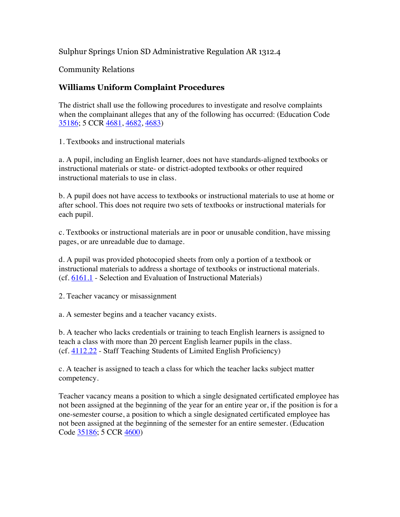Sulphur Springs Union SD Administrative Regulation AR 1312.4

Community Relations

## **Williams Uniform Complaint Procedures**

The district shall use the following procedures to investigate and resolve complaints when the complainant alleges that any of the following has occurred: (Education Code 35186; 5 CCR 4681, 4682, 4683)

1. Textbooks and instructional materials

a. A pupil, including an English learner, does not have standards-aligned textbooks or instructional materials or state- or district-adopted textbooks or other required instructional materials to use in class.

b. A pupil does not have access to textbooks or instructional materials to use at home or after school. This does not require two sets of textbooks or instructional materials for each pupil.

c. Textbooks or instructional materials are in poor or unusable condition, have missing pages, or are unreadable due to damage.

d. A pupil was provided photocopied sheets from only a portion of a textbook or instructional materials to address a shortage of textbooks or instructional materials. (cf. 6161.1 - Selection and Evaluation of Instructional Materials)

2. Teacher vacancy or misassignment

a. A semester begins and a teacher vacancy exists.

b. A teacher who lacks credentials or training to teach English learners is assigned to teach a class with more than 20 percent English learner pupils in the class. (cf. 4112.22 - Staff Teaching Students of Limited English Proficiency)

c. A teacher is assigned to teach a class for which the teacher lacks subject matter competency.

Teacher vacancy means a position to which a single designated certificated employee has not been assigned at the beginning of the year for an entire year or, if the position is for a one-semester course, a position to which a single designated certificated employee has not been assigned at the beginning of the semester for an entire semester. (Education Code 35186; 5 CCR 4600)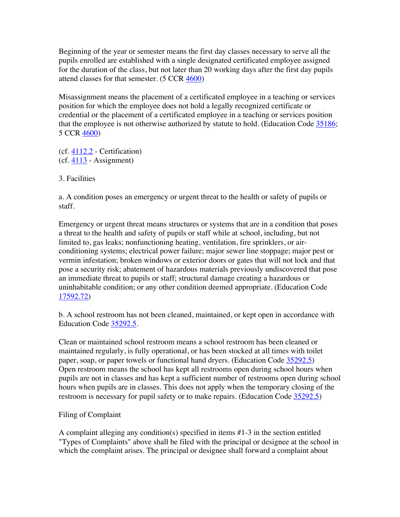Beginning of the year or semester means the first day classes necessary to serve all the pupils enrolled are established with a single designated certificated employee assigned for the duration of the class, but not later than 20 working days after the first day pupils attend classes for that semester. (5 CCR 4600)

Misassignment means the placement of a certificated employee in a teaching or services position for which the employee does not hold a legally recognized certificate or credential or the placement of a certificated employee in a teaching or services position that the employee is not otherwise authorized by statute to hold. (Education Code 35186; 5 CCR 4600)

 $(cf. 4112.2 - Certification)$  $(cf. 4113 - Assignment)$ 

3. Facilities

a. A condition poses an emergency or urgent threat to the health or safety of pupils or staff.

Emergency or urgent threat means structures or systems that are in a condition that poses a threat to the health and safety of pupils or staff while at school, including, but not limited to, gas leaks; nonfunctioning heating, ventilation, fire sprinklers, or airconditioning systems; electrical power failure; major sewer line stoppage; major pest or vermin infestation; broken windows or exterior doors or gates that will not lock and that pose a security risk; abatement of hazardous materials previously undiscovered that pose an immediate threat to pupils or staff; structural damage creating a hazardous or uninhabitable condition; or any other condition deemed appropriate. (Education Code 17592.72)

b. A school restroom has not been cleaned, maintained, or kept open in accordance with Education Code 35292.5.

Clean or maintained school restroom means a school restroom has been cleaned or maintained regularly, is fully operational, or has been stocked at all times with toilet paper, soap, or paper towels or functional hand dryers. (Education Code 35292.5) Open restroom means the school has kept all restrooms open during school hours when pupils are not in classes and has kept a sufficient number of restrooms open during school hours when pupils are in classes. This does not apply when the temporary closing of the restroom is necessary for pupil safety or to make repairs. (Education Code 35292.5)

## Filing of Complaint

A complaint alleging any condition(s) specified in items #1-3 in the section entitled "Types of Complaints" above shall be filed with the principal or designee at the school in which the complaint arises. The principal or designee shall forward a complaint about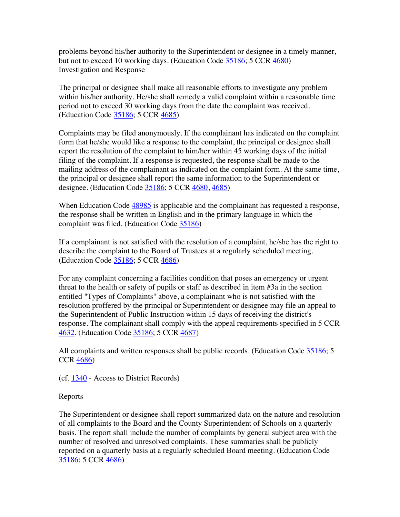problems beyond his/her authority to the Superintendent or designee in a timely manner, but not to exceed 10 working days. (Education Code 35186; 5 CCR 4680) Investigation and Response

The principal or designee shall make all reasonable efforts to investigate any problem within his/her authority. He/she shall remedy a valid complaint within a reasonable time period not to exceed 30 working days from the date the complaint was received. (Education Code 35186; 5 CCR 4685)

Complaints may be filed anonymously. If the complainant has indicated on the complaint form that he/she would like a response to the complaint, the principal or designee shall report the resolution of the complaint to him/her within 45 working days of the initial filing of the complaint. If a response is requested, the response shall be made to the mailing address of the complainant as indicated on the complaint form. At the same time, the principal or designee shall report the same information to the Superintendent or designee. (Education Code 35186; 5 CCR 4680, 4685)

When Education Code 48985 is applicable and the complainant has requested a response, the response shall be written in English and in the primary language in which the complaint was filed. (Education Code 35186)

If a complainant is not satisfied with the resolution of a complaint, he/she has the right to describe the complaint to the Board of Trustees at a regularly scheduled meeting. (Education Code 35186; 5 CCR 4686)

For any complaint concerning a facilities condition that poses an emergency or urgent threat to the health or safety of pupils or staff as described in item #3a in the section entitled "Types of Complaints" above, a complainant who is not satisfied with the resolution proffered by the principal or Superintendent or designee may file an appeal to the Superintendent of Public Instruction within 15 days of receiving the district's response. The complainant shall comply with the appeal requirements specified in 5 CCR 4632. (Education Code 35186; 5 CCR 4687)

All complaints and written responses shall be public records. (Education Code 35186; 5 CCR 4686)

 $(cf. 1340 - Access to District Records)$ 

Reports

The Superintendent or designee shall report summarized data on the nature and resolution of all complaints to the Board and the County Superintendent of Schools on a quarterly basis. The report shall include the number of complaints by general subject area with the number of resolved and unresolved complaints. These summaries shall be publicly reported on a quarterly basis at a regularly scheduled Board meeting. (Education Code 35186; 5 CCR 4686)